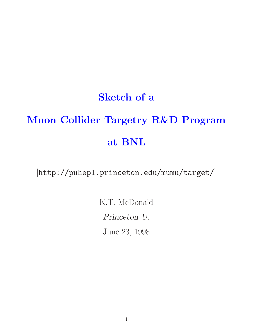## **Sketch of a**

# **Muon Collider Targetry R&D Program at BNL**

[http://puhep1.princeton.edu/mumu/target/]

K.T. McDonald *Princeton U.* June 23, 1998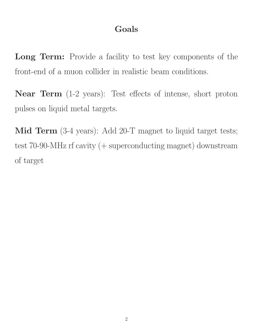#### **Goals**

**Long Term:** Provide a facility to test key components of the front-end of a muon collider in realistic beam conditions.

**Near Term** (1-2 years): Test effects of intense, short proton pulses on liquid metal targets.

**Mid Term** (3-4 years): Add 20-T magnet to liquid target tests; test 70-90-MHz rf cavity (+ superconducting magnet) downstream of target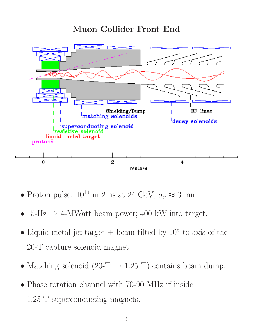#### **Muon Collider Front End**



- Proton pulse:  $10^{14}$  in 2 ns at 24 GeV;  $\sigma_r \approx 3$  mm.
- 15-Hz  $\Rightarrow$  4-MWatt beam power; 400 kW into target.
- Liquid metal jet target + beam tilted by  $10<sup>°</sup>$  to axis of the 20-T capture solenoid magnet.
- Matching solenoid (20-T  $\rightarrow$  1.25 T) contains beam dump.
- Phase rotation channel with 70-90 MHz rf inside 1.25-T superconducting magnets.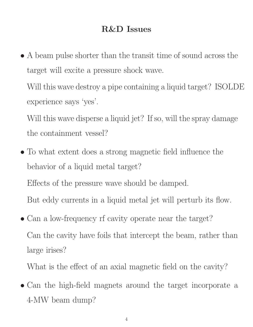#### **R&D Issues**

• A beam pulse shorter than the transit time of sound across the target will excite a pressure shock wave.

Will this wave destroy a pipe containing a liquid target? ISOLDE experience says 'yes'.

Will this wave disperse a liquid jet? If so, will the spray damage the containment vessel?

- To what extent does a strong magnetic field influence the behavior of a liquid metal target? Effects of the pressure wave should be damped. But eddy currents in a liquid metal jet will perturb its flow.
- Can a low-frequency rf cavity operate near the target? Can the cavity have foils that intercept the beam, rather than large irises?

What is the effect of an axial magnetic field on the cavity?

• Can the high-field magnets around the target incorporate a 4-MW beam dump?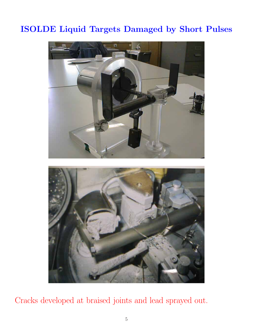### **ISOLDE Liquid Targets Damaged by Short Pulses**



Cracks developed at braised joints and lead sprayed out.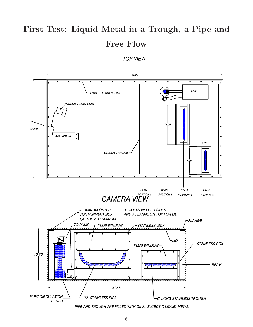## **First Test: Liquid Metal in a Trough, a Pipe and Free Flow**

#### **TOP VIEW**



PIPE AND TROUGH ARE FILLED WITH Ga-Sn EUTECTIC LIQUID METAL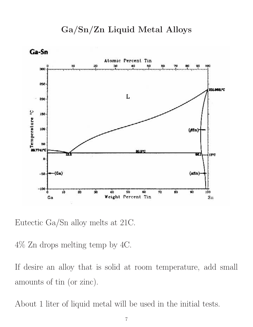

Eutectic Ga/Sn alloy melts at 21C.

4% Zn drops melting temp by 4C.

If desire an alloy that is solid at room temperature, add small amounts of tin (or zinc).

About 1 liter of liquid metal will be used in the initial tests.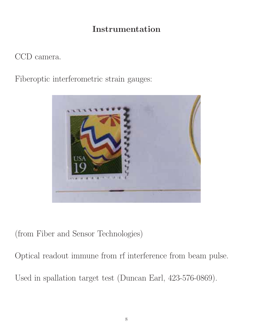#### **Instrumentation**

#### CCD camera.

Fiberoptic interferometric strain gauges:



(from Fiber and Sensor Technologies)

Optical readout immune from rf interference from beam pulse. Used in spallation target test (Duncan Earl, 423-576-0869).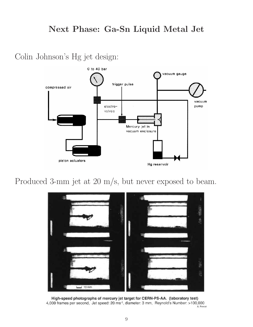#### **Next Phase: Ga-Sn Liquid Metal Jet**

Colin Johnson's Hg jet design:



Produced 3-mm jet at 20 m/s, but never exposed to beam.



High-speed photographs of mercury jet target for CERN-PS-AA. (laboratory test) 4,000 frames per second, Jet speed: 20 ms<sup>-1</sup>, diameter: 3 mm, Reynold's Number: >100,000 A. Poncet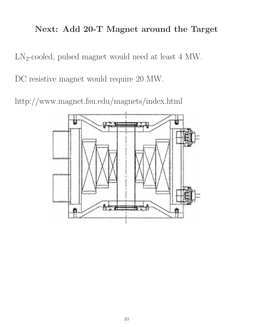#### **Next: Add 20-T Magnet around the Target**

LN2-cooled, pulsed magnet would need at least 4 MW.

DC resistive magnet would require 20 MW.

http://www.magnet.fsu.edu/magnets/index.html

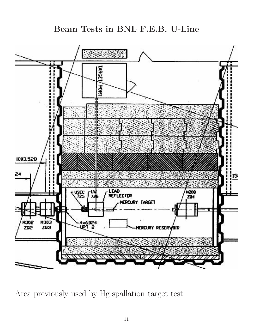#### **Beam Tests in BNL F.E.B. U-Line**



Area previously used by Hg spallation target test.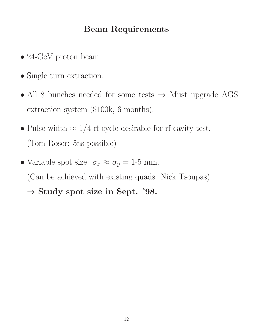#### **Beam Requirements**

- 24-GeV proton beam.
- Single turn extraction.
- All 8 bunches needed for some tests ⇒ Must upgrade AGS extraction system (\$100k, 6 months).
- Pulse width  $\approx 1/4$  rf cycle desirable for rf cavity test. (Tom Roser: 5ns possible)
- Variable spot size:  $\sigma_x \approx \sigma_y = 1.5$  mm. (Can be achieved with existing quads: Nick Tsoupas) ⇒ **Study spot size in Sept. '98.**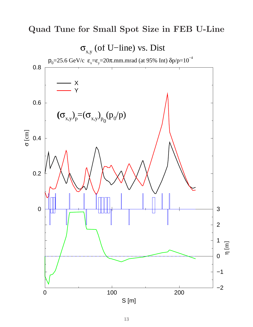